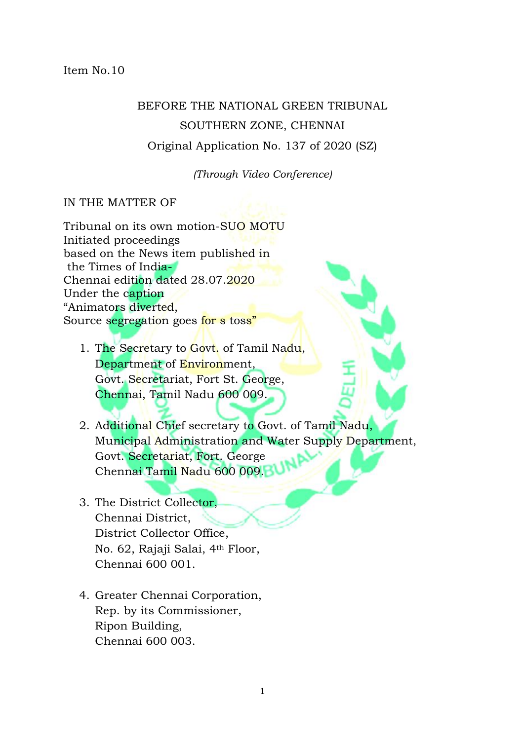Item No.10

## BEFORE THE NATIONAL GREEN TRIBUNAL SOUTHERN ZONE, CHENNAI Original Application No. 137 of 2020 (SZ)

*(Through Video Conference)*

## IN THE MATTER OF

Tribunal on its own motion-SUO MOTU Initiated proceedings based on the News item published in the Times of India-Chennai edition dated 28.07.2020 Under the caption "Animators diverted, Source segregation goes for s toss"

- 1. The Secretary to Govt. of Tamil Nadu, Department of Environment, Govt. Secretariat, Fort St. George, Chennai, Tamil Nadu 600 009.
- 2. Additional Chief secretary to Govt. of Tamil Nadu, Municipal Administration and Water Supply Department, Govt. Secretariat, Fort. George Chennai Tamil Nadu 600 009.
- 3. The District Collector, Chennai District, District Collector Office, No. 62, Rajaji Salai, 4th Floor, Chennai 600 001.
- 4. Greater Chennai Corporation, Rep. by its Commissioner, Ripon Building, Chennai 600 003.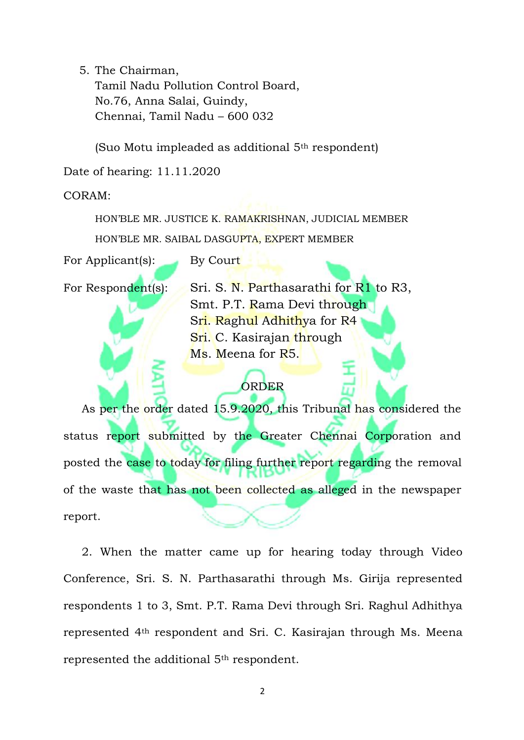5. The Chairman,

Tamil Nadu Pollution Control Board, No.76, Anna Salai, Guindy, Chennai, Tamil Nadu – 600 032

(Suo Motu impleaded as additional 5th respondent)

Date of hearing: 11.11.2020

CORAM:

HON'BLE MR. JUSTICE K. RAMAKRISHNAN, JUDICIAL MEMBER HON'BLE MR. SAIBAL DASGUPTA, EXPERT MEMBER

For Applicant(s): By Court

For Respondent(s): Sri. S. N. Parthasarathi for  $R1$  to R3, Smt. P.T. Rama Devi through Sri. Raghul Adhithya for R4 Sri. C. Kasirajan through Ms. Meena for R5.

## ORDER

 As per the order dated 15.9.2020, this Tribunal has considered the status report submitted by the Greater Chennai Corporation and posted the case to today for filing further report regarding the removal of the waste that has not been collected as alleged in the newspaper report.

 2. When the matter came up for hearing today through Video Conference, Sri. S. N. Parthasarathi through Ms. Girija represented respondents 1 to 3, Smt. P.T. Rama Devi through Sri. Raghul Adhithya represented 4th respondent and Sri. C. Kasirajan through Ms. Meena represented the additional 5th respondent.